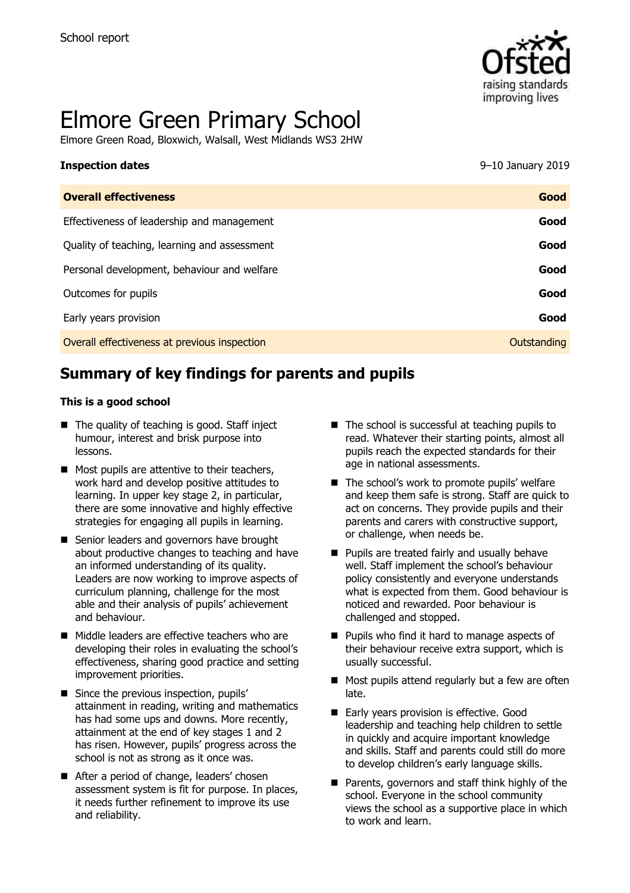

# Elmore Green Primary School

Elmore Green Road, Bloxwich, Walsall, West Midlands WS3 2HW

| <b>Inspection dates</b>                      | $9-10$ January 2019 |
|----------------------------------------------|---------------------|
| <b>Overall effectiveness</b>                 | Good                |
| Effectiveness of leadership and management   | Good                |
| Quality of teaching, learning and assessment | Good                |
| Personal development, behaviour and welfare  | Good                |
| Outcomes for pupils                          | Good                |
| Early years provision                        | Good                |
| Overall effectiveness at previous inspection | Outstanding         |

# **Summary of key findings for parents and pupils**

#### **This is a good school**

- The quality of teaching is good. Staff inject humour, interest and brisk purpose into lessons.
- $\blacksquare$  Most pupils are attentive to their teachers, work hard and develop positive attitudes to learning. In upper key stage 2, in particular, there are some innovative and highly effective strategies for engaging all pupils in learning.
- Senior leaders and governors have brought about productive changes to teaching and have an informed understanding of its quality. Leaders are now working to improve aspects of curriculum planning, challenge for the most able and their analysis of pupils' achievement and behaviour.
- Middle leaders are effective teachers who are developing their roles in evaluating the school's effectiveness, sharing good practice and setting improvement priorities.
- **Since the previous inspection, pupils'** attainment in reading, writing and mathematics has had some ups and downs. More recently, attainment at the end of key stages 1 and 2 has risen. However, pupils' progress across the school is not as strong as it once was.
- After a period of change, leaders' chosen assessment system is fit for purpose. In places, it needs further refinement to improve its use and reliability.
- $\blacksquare$  The school is successful at teaching pupils to read. Whatever their starting points, almost all pupils reach the expected standards for their age in national assessments.
- The school's work to promote pupils' welfare and keep them safe is strong. Staff are quick to act on concerns. They provide pupils and their parents and carers with constructive support, or challenge, when needs be.
- **Pupils are treated fairly and usually behave** well. Staff implement the school's behaviour policy consistently and everyone understands what is expected from them. Good behaviour is noticed and rewarded. Poor behaviour is challenged and stopped.
- Pupils who find it hard to manage aspects of their behaviour receive extra support, which is usually successful.
- Most pupils attend regularly but a few are often late.
- Early years provision is effective. Good leadership and teaching help children to settle in quickly and acquire important knowledge and skills. Staff and parents could still do more to develop children's early language skills.
- **Parents, governors and staff think highly of the** school. Everyone in the school community views the school as a supportive place in which to work and learn.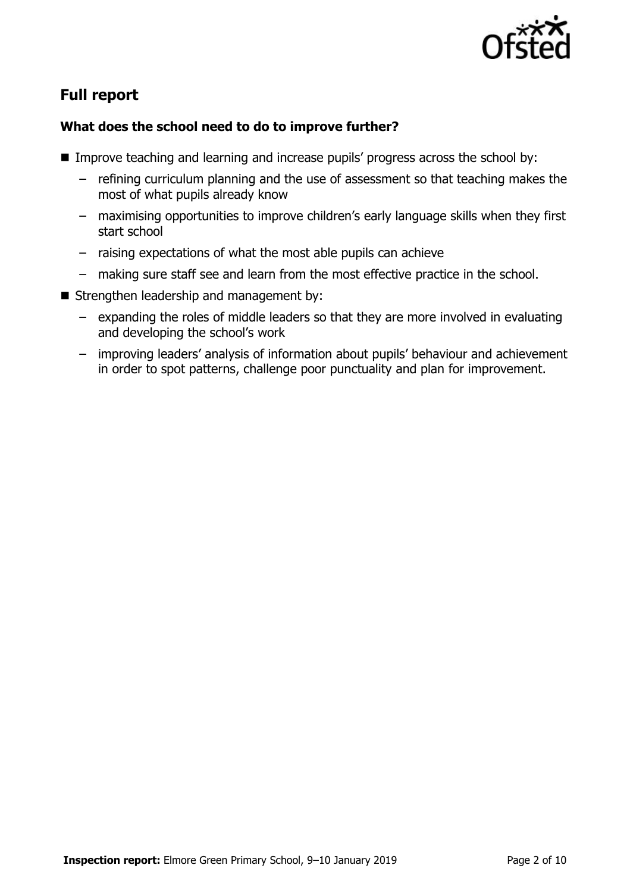

# **Full report**

#### **What does the school need to do to improve further?**

- **IMPROVE THE 11 Improve teaching and learning and increase pupils' progress across the school by:** 
	- refining curriculum planning and the use of assessment so that teaching makes the most of what pupils already know
	- maximising opportunities to improve children's early language skills when they first start school
	- raising expectations of what the most able pupils can achieve
	- making sure staff see and learn from the most effective practice in the school.
- Strengthen leadership and management by:
	- expanding the roles of middle leaders so that they are more involved in evaluating and developing the school's work
	- improving leaders' analysis of information about pupils' behaviour and achievement in order to spot patterns, challenge poor punctuality and plan for improvement.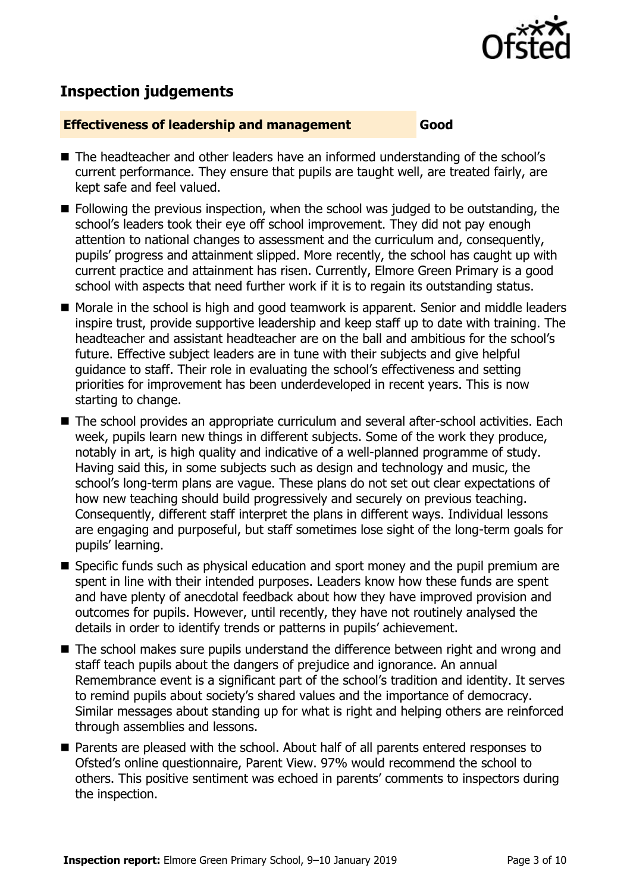

# **Inspection judgements**

#### **Effectiveness of leadership and management Good**

- The headteacher and other leaders have an informed understanding of the school's current performance. They ensure that pupils are taught well, are treated fairly, are kept safe and feel valued.
- **Following the previous inspection, when the school was judged to be outstanding, the** school's leaders took their eye off school improvement. They did not pay enough attention to national changes to assessment and the curriculum and, consequently, pupils' progress and attainment slipped. More recently, the school has caught up with current practice and attainment has risen. Currently, Elmore Green Primary is a good school with aspects that need further work if it is to regain its outstanding status.
- Morale in the school is high and good teamwork is apparent. Senior and middle leaders inspire trust, provide supportive leadership and keep staff up to date with training. The headteacher and assistant headteacher are on the ball and ambitious for the school's future. Effective subject leaders are in tune with their subjects and give helpful guidance to staff. Their role in evaluating the school's effectiveness and setting priorities for improvement has been underdeveloped in recent years. This is now starting to change.
- The school provides an appropriate curriculum and several after-school activities. Each week, pupils learn new things in different subjects. Some of the work they produce, notably in art, is high quality and indicative of a well-planned programme of study. Having said this, in some subjects such as design and technology and music, the school's long-term plans are vague. These plans do not set out clear expectations of how new teaching should build progressively and securely on previous teaching. Consequently, different staff interpret the plans in different ways. Individual lessons are engaging and purposeful, but staff sometimes lose sight of the long-term goals for pupils' learning.
- Specific funds such as physical education and sport money and the pupil premium are spent in line with their intended purposes. Leaders know how these funds are spent and have plenty of anecdotal feedback about how they have improved provision and outcomes for pupils. However, until recently, they have not routinely analysed the details in order to identify trends or patterns in pupils' achievement.
- The school makes sure pupils understand the difference between right and wrong and staff teach pupils about the dangers of prejudice and ignorance. An annual Remembrance event is a significant part of the school's tradition and identity. It serves to remind pupils about society's shared values and the importance of democracy. Similar messages about standing up for what is right and helping others are reinforced through assemblies and lessons.
- Parents are pleased with the school. About half of all parents entered responses to Ofsted's online questionnaire, Parent View. 97% would recommend the school to others. This positive sentiment was echoed in parents' comments to inspectors during the inspection.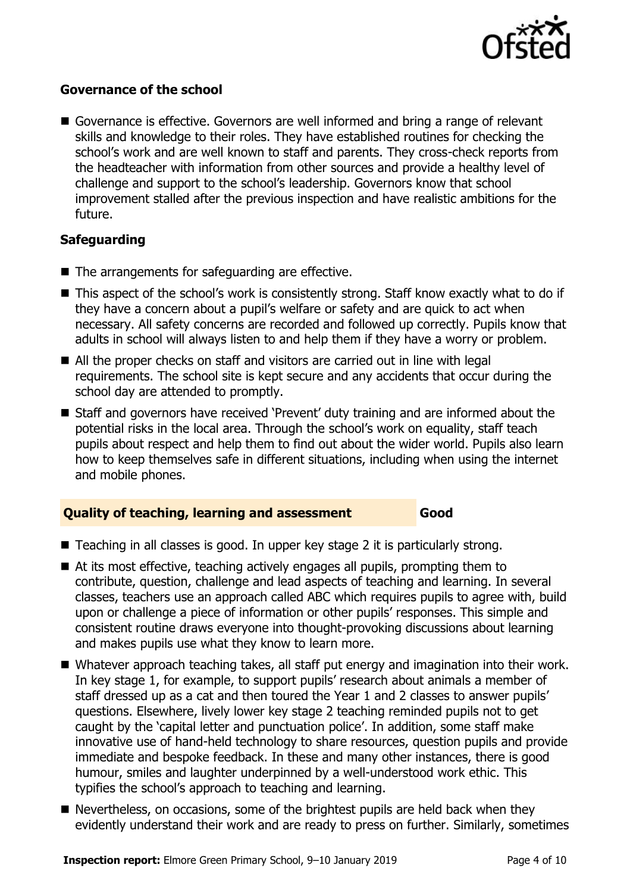

#### **Governance of the school**

Governance is effective. Governors are well informed and bring a range of relevant skills and knowledge to their roles. They have established routines for checking the school's work and are well known to staff and parents. They cross-check reports from the headteacher with information from other sources and provide a healthy level of challenge and support to the school's leadership. Governors know that school improvement stalled after the previous inspection and have realistic ambitions for the future.

#### **Safeguarding**

- The arrangements for safeguarding are effective.
- This aspect of the school's work is consistently strong. Staff know exactly what to do if they have a concern about a pupil's welfare or safety and are quick to act when necessary. All safety concerns are recorded and followed up correctly. Pupils know that adults in school will always listen to and help them if they have a worry or problem.
- All the proper checks on staff and visitors are carried out in line with legal requirements. The school site is kept secure and any accidents that occur during the school day are attended to promptly.
- Staff and governors have received 'Prevent' duty training and are informed about the potential risks in the local area. Through the school's work on equality, staff teach pupils about respect and help them to find out about the wider world. Pupils also learn how to keep themselves safe in different situations, including when using the internet and mobile phones.

#### **Quality of teaching, learning and assessment Good**

- Teaching in all classes is good. In upper key stage 2 it is particularly strong.
- At its most effective, teaching actively engages all pupils, prompting them to contribute, question, challenge and lead aspects of teaching and learning. In several classes, teachers use an approach called ABC which requires pupils to agree with, build upon or challenge a piece of information or other pupils' responses. This simple and consistent routine draws everyone into thought-provoking discussions about learning and makes pupils use what they know to learn more.
- Whatever approach teaching takes, all staff put energy and imagination into their work. In key stage 1, for example, to support pupils' research about animals a member of staff dressed up as a cat and then toured the Year 1 and 2 classes to answer pupils' questions. Elsewhere, lively lower key stage 2 teaching reminded pupils not to get caught by the 'capital letter and punctuation police'. In addition, some staff make innovative use of hand-held technology to share resources, question pupils and provide immediate and bespoke feedback. In these and many other instances, there is good humour, smiles and laughter underpinned by a well-understood work ethic. This typifies the school's approach to teaching and learning.
- Nevertheless, on occasions, some of the brightest pupils are held back when they evidently understand their work and are ready to press on further. Similarly, sometimes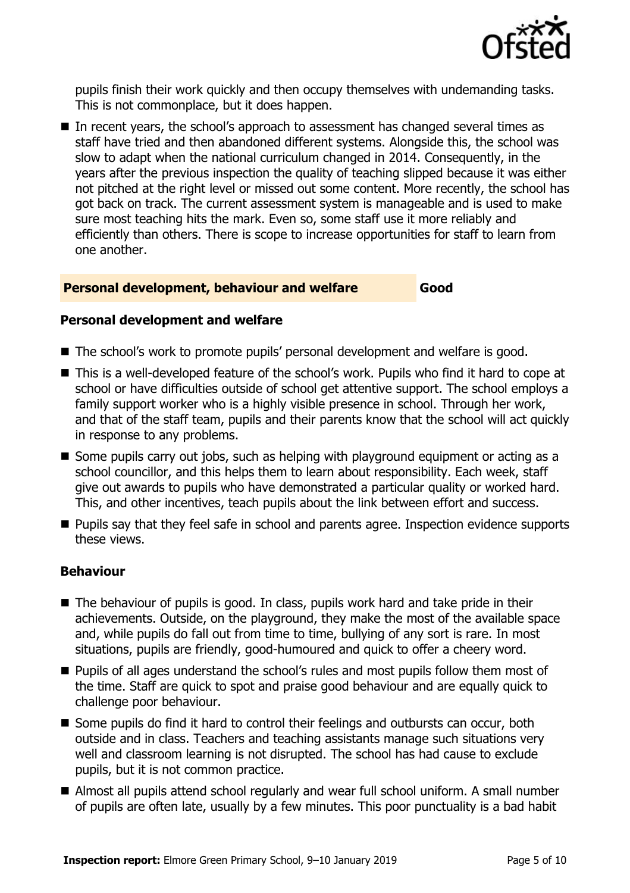

pupils finish their work quickly and then occupy themselves with undemanding tasks. This is not commonplace, but it does happen.

In recent years, the school's approach to assessment has changed several times as staff have tried and then abandoned different systems. Alongside this, the school was slow to adapt when the national curriculum changed in 2014. Consequently, in the years after the previous inspection the quality of teaching slipped because it was either not pitched at the right level or missed out some content. More recently, the school has got back on track. The current assessment system is manageable and is used to make sure most teaching hits the mark. Even so, some staff use it more reliably and efficiently than others. There is scope to increase opportunities for staff to learn from one another.

#### **Personal development, behaviour and welfare Good**

#### **Personal development and welfare**

- The school's work to promote pupils' personal development and welfare is good.
- This is a well-developed feature of the school's work. Pupils who find it hard to cope at school or have difficulties outside of school get attentive support. The school employs a family support worker who is a highly visible presence in school. Through her work, and that of the staff team, pupils and their parents know that the school will act quickly in response to any problems.
- Some pupils carry out jobs, such as helping with playground equipment or acting as a school councillor, and this helps them to learn about responsibility. Each week, staff give out awards to pupils who have demonstrated a particular quality or worked hard. This, and other incentives, teach pupils about the link between effort and success.
- **Pupils say that they feel safe in school and parents agree. Inspection evidence supports** these views.

#### **Behaviour**

- The behaviour of pupils is good. In class, pupils work hard and take pride in their achievements. Outside, on the playground, they make the most of the available space and, while pupils do fall out from time to time, bullying of any sort is rare. In most situations, pupils are friendly, good-humoured and quick to offer a cheery word.
- **Pupils of all ages understand the school's rules and most pupils follow them most of** the time. Staff are quick to spot and praise good behaviour and are equally quick to challenge poor behaviour.
- Some pupils do find it hard to control their feelings and outbursts can occur, both outside and in class. Teachers and teaching assistants manage such situations very well and classroom learning is not disrupted. The school has had cause to exclude pupils, but it is not common practice.
- Almost all pupils attend school regularly and wear full school uniform. A small number of pupils are often late, usually by a few minutes. This poor punctuality is a bad habit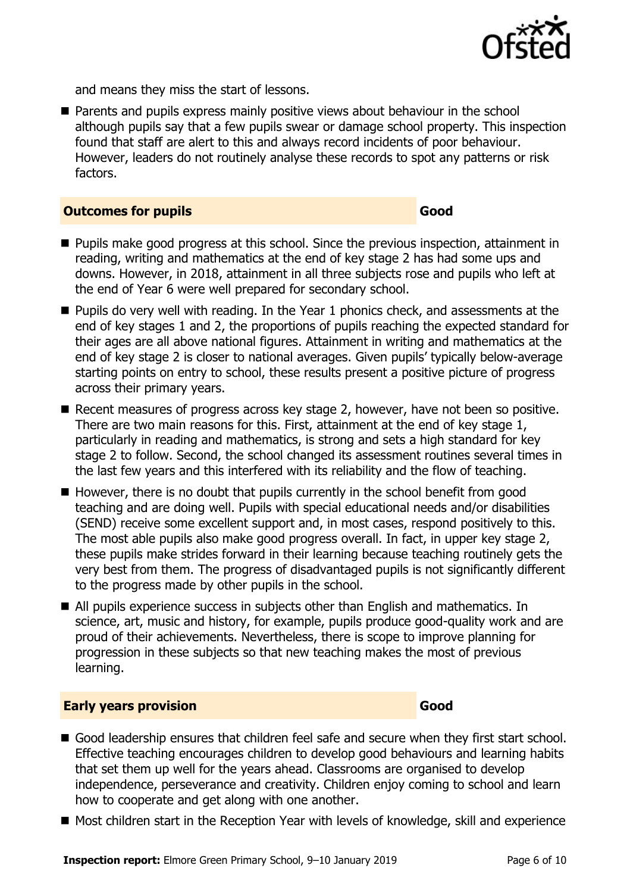

and means they miss the start of lessons.

**Parents and pupils express mainly positive views about behaviour in the school** although pupils say that a few pupils swear or damage school property. This inspection found that staff are alert to this and always record incidents of poor behaviour. However, leaders do not routinely analyse these records to spot any patterns or risk factors.

#### **Outcomes for pupils Good**

- **Pupils make good progress at this school. Since the previous inspection, attainment in** reading, writing and mathematics at the end of key stage 2 has had some ups and downs. However, in 2018, attainment in all three subjects rose and pupils who left at the end of Year 6 were well prepared for secondary school.
- **Pupils do very well with reading. In the Year 1 phonics check, and assessments at the** end of key stages 1 and 2, the proportions of pupils reaching the expected standard for their ages are all above national figures. Attainment in writing and mathematics at the end of key stage 2 is closer to national averages. Given pupils' typically below-average starting points on entry to school, these results present a positive picture of progress across their primary years.
- Recent measures of progress across key stage 2, however, have not been so positive. There are two main reasons for this. First, attainment at the end of key stage 1, particularly in reading and mathematics, is strong and sets a high standard for key stage 2 to follow. Second, the school changed its assessment routines several times in the last few years and this interfered with its reliability and the flow of teaching.
- $\blacksquare$  However, there is no doubt that pupils currently in the school benefit from good teaching and are doing well. Pupils with special educational needs and/or disabilities (SEND) receive some excellent support and, in most cases, respond positively to this. The most able pupils also make good progress overall. In fact, in upper key stage 2, these pupils make strides forward in their learning because teaching routinely gets the very best from them. The progress of disadvantaged pupils is not significantly different to the progress made by other pupils in the school.
- All pupils experience success in subjects other than English and mathematics. In science, art, music and history, for example, pupils produce good-quality work and are proud of their achievements. Nevertheless, there is scope to improve planning for progression in these subjects so that new teaching makes the most of previous learning.

#### **Early years provision Good Good**

- Good leadership ensures that children feel safe and secure when they first start school. Effective teaching encourages children to develop good behaviours and learning habits that set them up well for the years ahead. Classrooms are organised to develop independence, perseverance and creativity. Children enjoy coming to school and learn how to cooperate and get along with one another.
- Most children start in the Reception Year with levels of knowledge, skill and experience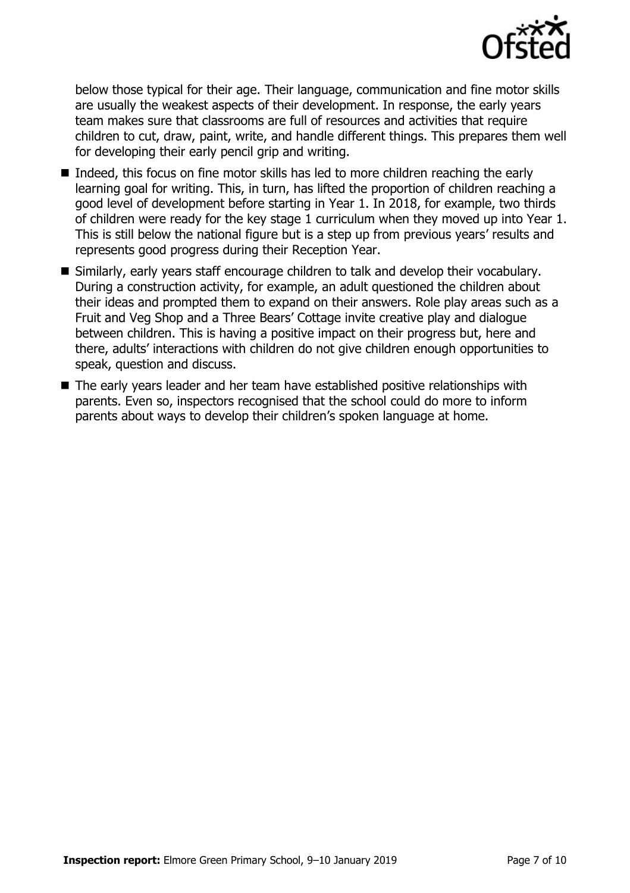

below those typical for their age. Their language, communication and fine motor skills are usually the weakest aspects of their development. In response, the early years team makes sure that classrooms are full of resources and activities that require children to cut, draw, paint, write, and handle different things. This prepares them well for developing their early pencil grip and writing.

- Indeed, this focus on fine motor skills has led to more children reaching the early learning goal for writing. This, in turn, has lifted the proportion of children reaching a good level of development before starting in Year 1. In 2018, for example, two thirds of children were ready for the key stage 1 curriculum when they moved up into Year 1. This is still below the national figure but is a step up from previous years' results and represents good progress during their Reception Year.
- Similarly, early years staff encourage children to talk and develop their vocabulary. During a construction activity, for example, an adult questioned the children about their ideas and prompted them to expand on their answers. Role play areas such as a Fruit and Veg Shop and a Three Bears' Cottage invite creative play and dialogue between children. This is having a positive impact on their progress but, here and there, adults' interactions with children do not give children enough opportunities to speak, question and discuss.
- The early years leader and her team have established positive relationships with parents. Even so, inspectors recognised that the school could do more to inform parents about ways to develop their children's spoken language at home.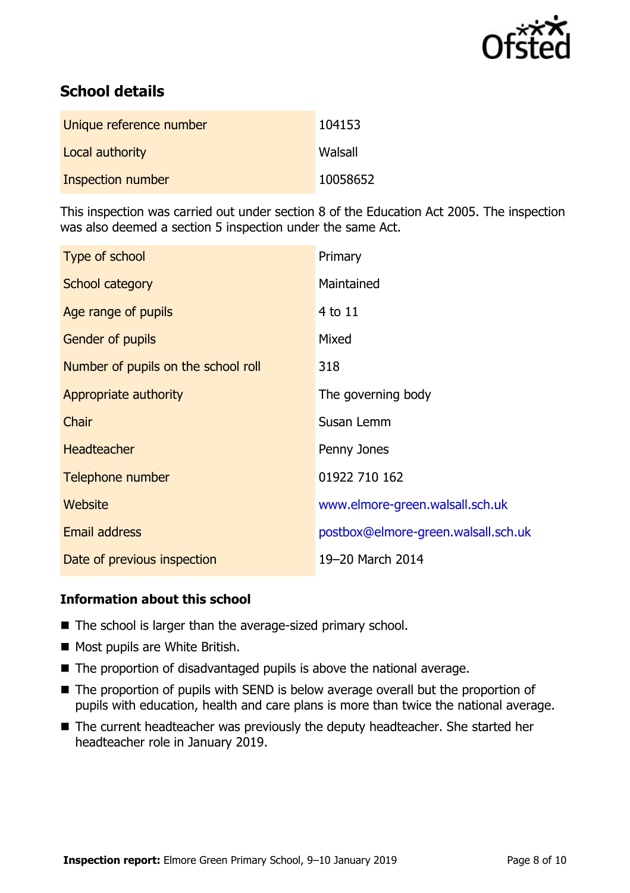

# **School details**

| Unique reference number | 104153   |
|-------------------------|----------|
| Local authority         | Walsall  |
| Inspection number       | 10058652 |

This inspection was carried out under section 8 of the Education Act 2005. The inspection was also deemed a section 5 inspection under the same Act.

| Type of school                      | Primary                             |
|-------------------------------------|-------------------------------------|
| School category                     | Maintained                          |
| Age range of pupils                 | $4$ to $11$                         |
| <b>Gender of pupils</b>             | Mixed                               |
| Number of pupils on the school roll | 318                                 |
| Appropriate authority               | The governing body                  |
| Chair                               | Susan Lemm                          |
| <b>Headteacher</b>                  | Penny Jones                         |
| Telephone number                    | 01922 710 162                       |
| Website                             | www.elmore-green.walsall.sch.uk     |
| Email address                       | postbox@elmore-green.walsall.sch.uk |
| Date of previous inspection         | 19-20 March 2014                    |

### **Information about this school**

- The school is larger than the average-sized primary school.
- Most pupils are White British.
- $\blacksquare$  The proportion of disadvantaged pupils is above the national average.
- The proportion of pupils with SEND is below average overall but the proportion of pupils with education, health and care plans is more than twice the national average.
- The current headteacher was previously the deputy headteacher. She started her headteacher role in January 2019.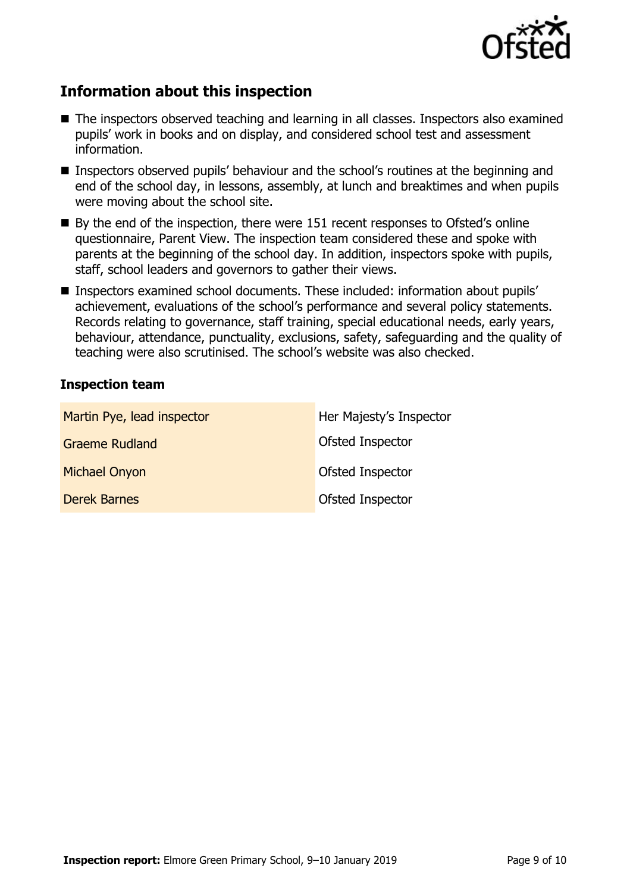

# **Information about this inspection**

- The inspectors observed teaching and learning in all classes. Inspectors also examined pupils' work in books and on display, and considered school test and assessment information.
- Inspectors observed pupils' behaviour and the school's routines at the beginning and end of the school day, in lessons, assembly, at lunch and breaktimes and when pupils were moving about the school site.
- By the end of the inspection, there were 151 recent responses to Ofsted's online questionnaire, Parent View. The inspection team considered these and spoke with parents at the beginning of the school day. In addition, inspectors spoke with pupils, staff, school leaders and governors to gather their views.
- Inspectors examined school documents. These included: information about pupils' achievement, evaluations of the school's performance and several policy statements. Records relating to governance, staff training, special educational needs, early years, behaviour, attendance, punctuality, exclusions, safety, safeguarding and the quality of teaching were also scrutinised. The school's website was also checked.

#### **Inspection team**

| Martin Pye, lead inspector | Her Majesty's Inspector |
|----------------------------|-------------------------|
| <b>Graeme Rudland</b>      | Ofsted Inspector        |
| <b>Michael Onyon</b>       | Ofsted Inspector        |
| <b>Derek Barnes</b>        | Ofsted Inspector        |